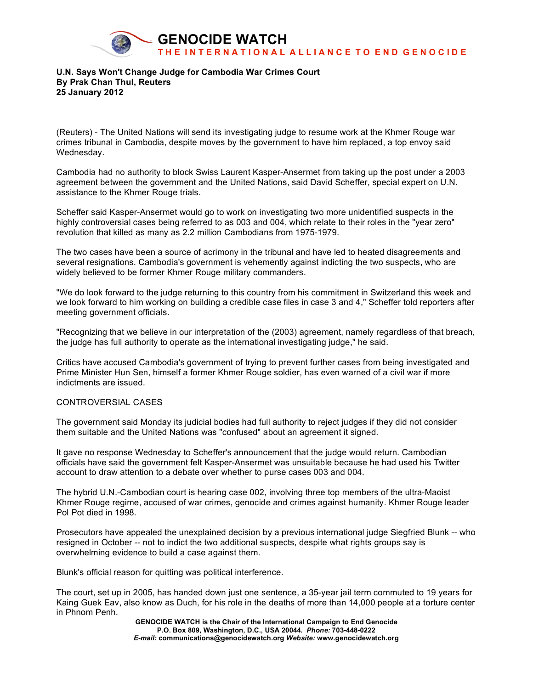

## **U.N. Says Won't Change Judge for Cambodia War Crimes Court By Prak Chan Thul, Reuters 25 January 2012**

(Reuters) - The United Nations will send its investigating judge to resume work at the Khmer Rouge war crimes tribunal in Cambodia, despite moves by the government to have him replaced, a top envoy said Wednesday.

Cambodia had no authority to block Swiss Laurent Kasper-Ansermet from taking up the post under a 2003 agreement between the government and the United Nations, said David Scheffer, special expert on U.N. assistance to the Khmer Rouge trials.

Scheffer said Kasper-Ansermet would go to work on investigating two more unidentified suspects in the highly controversial cases being referred to as 003 and 004, which relate to their roles in the "year zero" revolution that killed as many as 2.2 million Cambodians from 1975-1979.

The two cases have been a source of acrimony in the tribunal and have led to heated disagreements and several resignations. Cambodia's government is vehemently against indicting the two suspects, who are widely believed to be former Khmer Rouge military commanders.

"We do look forward to the judge returning to this country from his commitment in Switzerland this week and we look forward to him working on building a credible case files in case 3 and 4," Scheffer told reporters after meeting government officials.

"Recognizing that we believe in our interpretation of the (2003) agreement, namely regardless of that breach, the judge has full authority to operate as the international investigating judge," he said.

Critics have accused Cambodia's government of trying to prevent further cases from being investigated and Prime Minister Hun Sen, himself a former Khmer Rouge soldier, has even warned of a civil war if more indictments are issued.

## CONTROVERSIAL CASES

The government said Monday its judicial bodies had full authority to reject judges if they did not consider them suitable and the United Nations was "confused" about an agreement it signed.

It gave no response Wednesday to Scheffer's announcement that the judge would return. Cambodian officials have said the government felt Kasper-Ansermet was unsuitable because he had used his Twitter account to draw attention to a debate over whether to purse cases 003 and 004.

The hybrid U.N.-Cambodian court is hearing case 002, involving three top members of the ultra-Maoist Khmer Rouge regime, accused of war crimes, genocide and crimes against humanity. Khmer Rouge leader Pol Pot died in 1998.

Prosecutors have appealed the unexplained decision by a previous international judge Siegfried Blunk -- who resigned in October -- not to indict the two additional suspects, despite what rights groups say is overwhelming evidence to build a case against them.

Blunk's official reason for quitting was political interference.

The court, set up in 2005, has handed down just one sentence, a 35-year jail term commuted to 19 years for Kaing Guek Eav, also know as Duch, for his role in the deaths of more than 14,000 people at a torture center in Phnom Penh.

**GENOCIDE WATCH is the Chair of the International Campaign to End Genocide P.O. Box 809, Washington, D.C., USA 20044***. Phone:* **703-448-0222** *E-mail:* **communications@genocidewatch.org** *Website:* **www.genocidewatch.org**